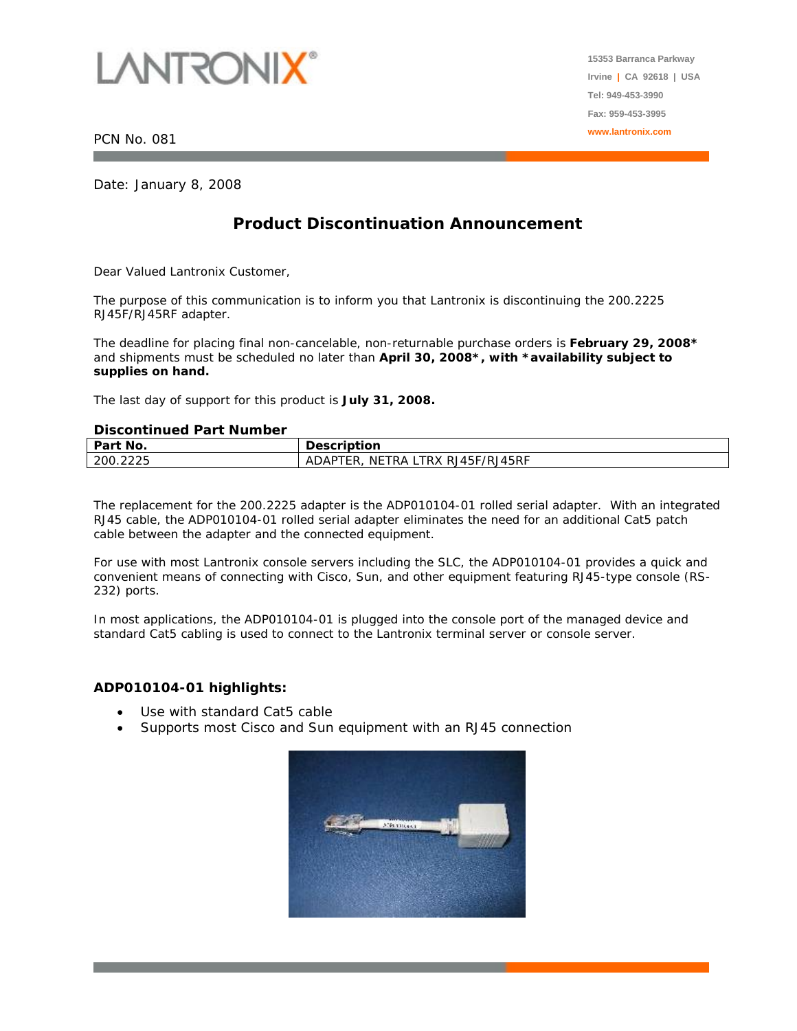

PCN No. 081

Date: January 8, 2008

## **Product Discontinuation Announcement**

Dear Valued Lantronix Customer,

The purpose of this communication is to inform you that Lantronix is discontinuing the 200.2225 RJ45F/RJ45RF adapter.

The deadline for placing final non-cancelable, non-returnable purchase orders is **February 29, 2008\***  and shipments must be scheduled no later than **April 30, 2008\*, with \*availability subject to supplies on hand.** 

The last day of support for this product is **July 31, 2008.** 

## **Discontinued Part Number**

| <b>PRODUCED LATERATURE</b> |                                                 |
|----------------------------|-------------------------------------------------|
| Part No.                   | <b>Description</b>                              |
| 200.2225                   | LTRX RJ45F/RJ45RF .<br>NETRA L<br>ADAP<br>'TER. |

The replacement for the 200.2225 adapter is the ADP010104-01 rolled serial adapter. With an integrated RJ45 cable, the ADP010104-01 rolled serial adapter eliminates the need for an additional Cat5 patch cable between the adapter and the connected equipment.

For use with most Lantronix console servers including the SLC, the ADP010104-01 provides a quick and convenient means of connecting with Cisco, Sun, and other equipment featuring RJ45-type console (RS-232) ports.

In most applications, the ADP010104-01 is plugged into the console port of the managed device and standard Cat5 cabling is used to connect to the Lantronix terminal server or console server.

## **ADP010104-01 highlights:**

- Use with standard Cat5 cable
- Supports most Cisco and Sun equipment with an RJ45 connection



**15353 Barranca Parkway Irvine | CA 92618 | USA Tel: 949-453-3990 Fax: 959-453-3995 www.lantronix.com**